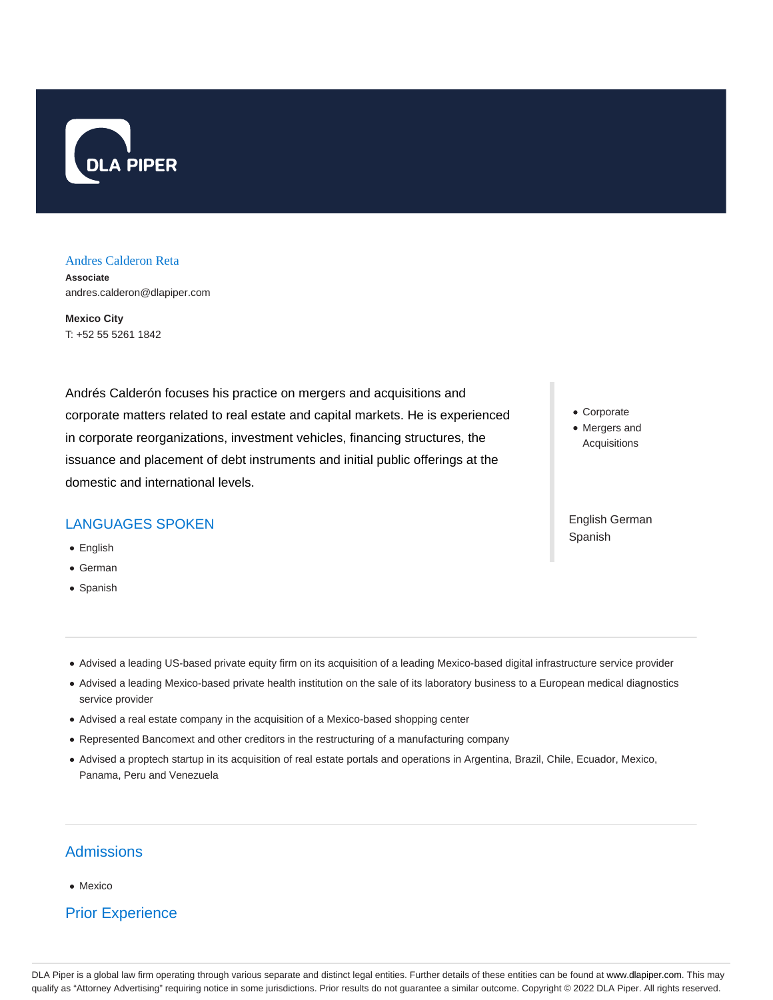

#### Andres Calderon Reta

**Associate** andres.calderon@dlapiper.com

**Mexico City** T: +52 55 5261 1842

Andrés Calderón focuses his practice on mergers and acquisitions and corporate matters related to real estate and capital markets. He is experienced in corporate reorganizations, investment vehicles, financing structures, the issuance and placement of debt instruments and initial public offerings at the domestic and international levels.

## LANGUAGES SPOKEN

- English
- German
- Spanish
- Corporate
- Mergers and Acquisitions

English German Spanish

- Advised a leading US-based private equity firm on its acquisition of a leading Mexico-based digital infrastructure service provider
- Advised a leading Mexico-based private health institution on the sale of its laboratory business to a European medical diagnostics service provider
- Advised a real estate company in the acquisition of a Mexico-based shopping center
- Represented Bancomext and other creditors in the restructuring of a manufacturing company
- Advised a proptech startup in its acquisition of real estate portals and operations in Argentina, Brazil, Chile, Ecuador, Mexico, Panama, Peru and Venezuela

## **Admissions**

• Mexico

# Prior Experience

DLA Piper is a global law firm operating through various separate and distinct legal entities. Further details of these entities can be found at www.dlapiper.com. This may qualify as "Attorney Advertising" requiring notice in some jurisdictions. Prior results do not guarantee a similar outcome. Copyright © 2022 DLA Piper. All rights reserved.